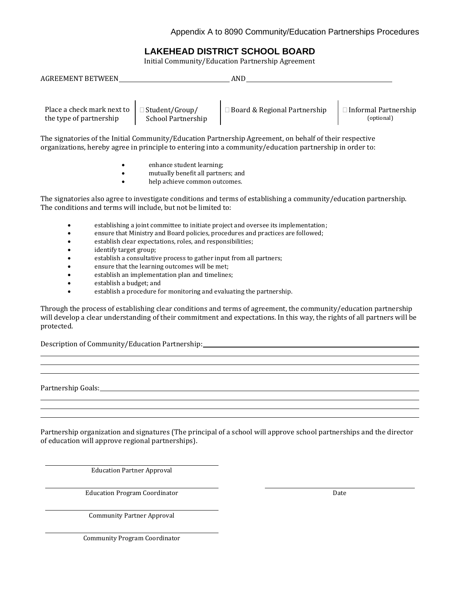# **LAKEHEAD DISTRICT SCHOOL BOARD**

Initial Community/Education Partnership Agreement

| <b>AGREEMENT BETWEEN</b>   |                       | AND                            |                        |  |
|----------------------------|-----------------------|--------------------------------|------------------------|--|
| Place a check mark next to | $\Box$ Student/Group/ | □ Board & Regional Partnership | □ Informal Partnership |  |
| the type of partnership    | School Partnership    |                                | (optional)             |  |

The signatories of the Initial Community/Education Partnership Agreement, on behalf of their respective organizations, hereby agree in principle to entering into a community/education partnership in order to:

- enhance student learning;
- mutually benefit all partners; and
- help achieve common outcomes.

The signatories also agree to investigate conditions and terms of establishing a community/education partnership. The conditions and terms will include, but not be limited to:

- establishing a joint committee to initiate project and oversee its implementation;
- ensure that Ministry and Board policies, procedures and practices are followed;
- establish clear expectations, roles, and responsibilities;
- identify target group;
- establish a consultative process to gather input from all partners;
- ensure that the learning outcomes will be met;
- establish an implementation plan and timelines;
- establish a budget; and
- establish a procedure for monitoring and evaluating the partnership.

Through the process of establishing clear conditions and terms of agreement, the community/education partnership will develop a clear understanding of their commitment and expectations. In this way, the rights of all partners will be protected.

Description of Community/Education Partnership:

Partnership Goals: North Contact Services and Contact Services and Contact Services and Contact Services and Contact Services and Contact Services and Contact Services and Contact Services and Contact Services and Contact

Partnership organization and signatures (The principal of a school will approve school partnerships and the director of education will approve regional partnerships).

Education Partner Approval

Education Program Coordinator **Date Date Date Date Date** 

Community Partner Approval

Community Program Coordinator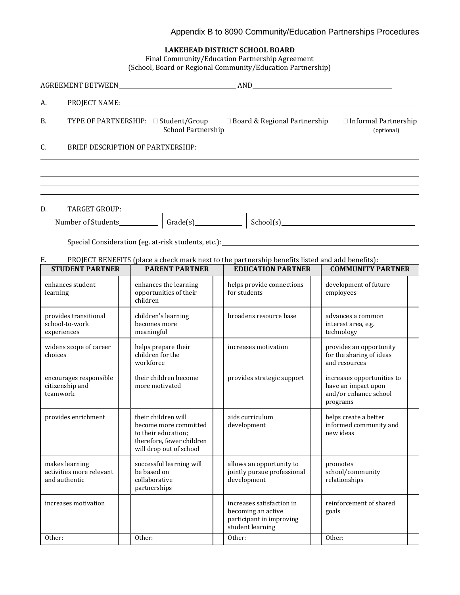## Appendix B to 8090 Community/Education Partnerships Procedures

| LAKEHEAD DISTRICT SCHOOL BOARD |  |  |  |
|--------------------------------|--|--|--|
|--------------------------------|--|--|--|

Final Community/Education Partnership Agreement (School, Board or Regional Community/Education Partnership)

| А.                                                          |                                                                                                                             | PROJECT NAME: NAME:                                                                                                         |                                                                                        |
|-------------------------------------------------------------|-----------------------------------------------------------------------------------------------------------------------------|-----------------------------------------------------------------------------------------------------------------------------|----------------------------------------------------------------------------------------|
| B.                                                          | School Partnership                                                                                                          | TYPE OF PARTNERSHIP: □ Student/Group □ Board & Regional Partnership □ Informal Partnership                                  | (optional)                                                                             |
| C.                                                          | BRIEF DESCRIPTION OF PARTNERSHIP:                                                                                           |                                                                                                                             |                                                                                        |
|                                                             |                                                                                                                             |                                                                                                                             |                                                                                        |
|                                                             |                                                                                                                             | ,我们也不会有什么。""我们的人,我们也不会有什么?""我们的人,我们也不会有什么?""我们的人,我们也不会有什么?""我们的人,我们也不会有什么?""我们的人                                            |                                                                                        |
| D.<br><b>TARGET GROUP:</b>                                  |                                                                                                                             |                                                                                                                             |                                                                                        |
|                                                             |                                                                                                                             |                                                                                                                             |                                                                                        |
| Е.<br><b>STUDENT PARTNER</b>                                | <b>PARENT PARTNER</b>                                                                                                       | PROJECT BENEFITS (place a check mark next to the partnership benefits listed and add benefits):<br><b>EDUCATION PARTNER</b> | <b>COMMUNITY PARTNER</b>                                                               |
| enhances student<br>learning                                | enhances the learning<br>opportunities of their<br>children                                                                 | helps provide connections<br>for students                                                                                   | development of future<br>employees                                                     |
| provides transitional<br>school-to-work<br>experiences      | children's learning<br>becomes more<br>meaningful                                                                           | broadens resource base                                                                                                      | advances a common<br>interest area, e.g.<br>technology                                 |
| widens scope of career<br>choices                           | helps prepare their<br>children for the<br>workforce                                                                        | increases motivation                                                                                                        | provides an opportunity<br>for the sharing of ideas<br>and resources                   |
| encourages responsible<br>citizenship and<br>teamwork       | their children become<br>more motivated                                                                                     | provides strategic support                                                                                                  | increases opportunities to<br>have an impact upon<br>and/or enhance school<br>programs |
| provides enrichment                                         | their children will<br>become more committed<br>to their education;<br>therefore, fewer children<br>will drop out of school | aids curriculum<br>development                                                                                              | helps create a better<br>informed community and<br>new ideas                           |
| makes learning<br>activities more relevant<br>and authentic | successful learning will<br>be based on<br>collaborative<br>partnerships                                                    | allows an opportunity to<br>jointly pursue professional<br>development                                                      | promotes<br>school/community<br>relationships                                          |
| increases motivation                                        |                                                                                                                             | increases satisfaction in<br>becoming an active<br>participant in improving<br>student learning                             | reinforcement of shared<br>goals                                                       |

Other: Other: Other: Other: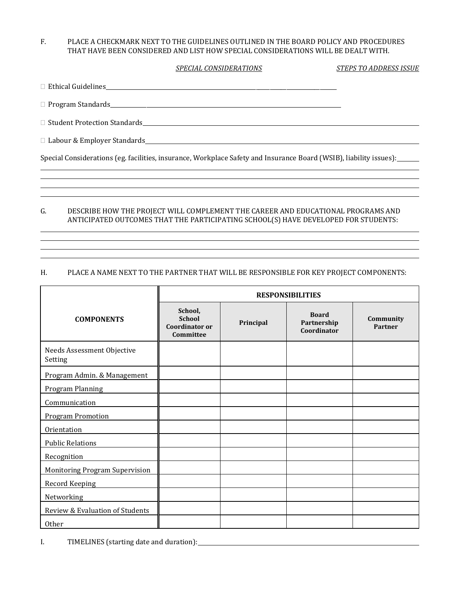#### F. PLACE A CHECKMARK NEXT TO THE GUIDELINES OUTLINED IN THE BOARD POLICY AND PROCEDURES THAT HAVE BEEN CONSIDERED AND LIST HOW SPECIAL CONSIDERATIONS WILL BE DEALT WITH.

#### *SPECIAL CONSIDERATIONS STEPS TO ADDRESS ISSUE*

Ethical Guidelines\_\_\_\_\_\_\_\_\_\_\_\_\_\_\_\_\_\_\_\_\_\_\_\_\_\_\_\_\_\_\_\_\_\_\_\_\_\_\_\_\_\_\_\_\_\_\_\_\_\_\_\_\_\_\_\_\_\_\_\_\_\_\_\_\_\_\_\_\_\_\_\_\_\_\_\_\_\_\_\_\_\_\_

 $\Box$  Program Standards

 $\Box$  Student Protection Standards expansion of the state of the state of the state of the state of the state of the state of the state of the state of the state of the state of the state of the state of the state of the st

Labour & Employer Standards

Special Considerations (eg. facilities, insurance, Workplace Safety and Insurance Board (WSIB), liability issues):

#### G. DESCRIBE HOW THE PROJECT WILL COMPLEMENT THE CAREER AND EDUCATIONAL PROGRAMS AND ANTICIPATED OUTCOMES THAT THE PARTICIPATING SCHOOL(S) HAVE DEVELOPED FOR STUDENTS:

#### H. PLACE A NAME NEXT TO THE PARTNER THAT WILL BE RESPONSIBLE FOR KEY PROJECT COMPONENTS:

|                                       | <b>RESPONSIBILITIES</b>                                        |           |                                            |                      |
|---------------------------------------|----------------------------------------------------------------|-----------|--------------------------------------------|----------------------|
| <b>COMPONENTS</b>                     | School,<br><b>School</b><br><b>Coordinator or</b><br>Committee | Principal | <b>Board</b><br>Partnership<br>Coordinator | Community<br>Partner |
| Needs Assessment Objective<br>Setting |                                                                |           |                                            |                      |
| Program Admin. & Management           |                                                                |           |                                            |                      |
| <b>Program Planning</b>               |                                                                |           |                                            |                      |
| Communication                         |                                                                |           |                                            |                      |
| <b>Program Promotion</b>              |                                                                |           |                                            |                      |
| Orientation                           |                                                                |           |                                            |                      |
| <b>Public Relations</b>               |                                                                |           |                                            |                      |
| Recognition                           |                                                                |           |                                            |                      |
| <b>Monitoring Program Supervision</b> |                                                                |           |                                            |                      |
| <b>Record Keeping</b>                 |                                                                |           |                                            |                      |
| Networking                            |                                                                |           |                                            |                      |
| Review & Evaluation of Students       |                                                                |           |                                            |                      |
| Other                                 |                                                                |           |                                            |                      |

I. TIMELINES (starting date and duration):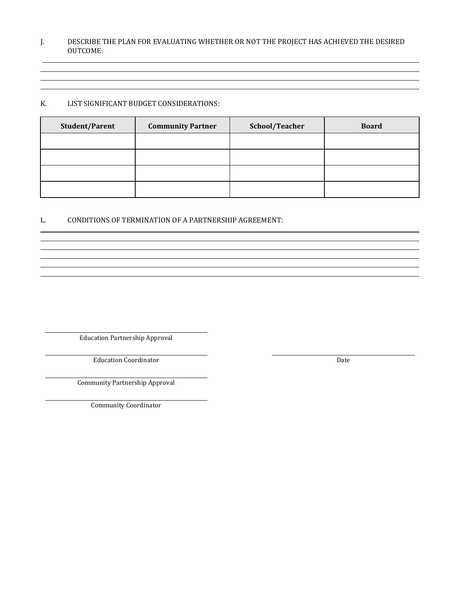#### J. DESCRIBE THE PLAN FOR EVALUATING WHETHER OR NOT THE PROJECT HAS ACHIEVED THE DESIRED OUTCOME:

### K. LIST SIGNIFICANT BUDGET CONSIDERATIONS:

| <b>Student/Parent</b> | <b>Community Partner</b> | School/Teacher | <b>Board</b> |
|-----------------------|--------------------------|----------------|--------------|
|                       |                          |                |              |
|                       |                          |                |              |
|                       |                          |                |              |
|                       |                          |                |              |

L. CONDITIONS OF TERMINATION OF A PARTNERSHIP AGREEMENT:

Education Partnership Approval

Education Coordinator Date

Community Partnership Approval

Community Coordinator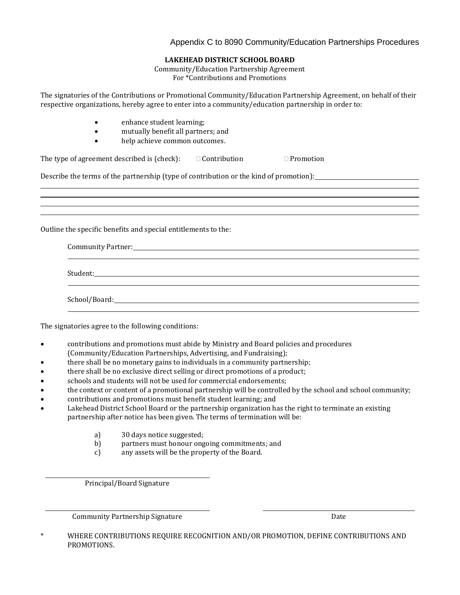### Appendix C to 8090 Community/Education Partnerships Procedures

#### **LAKEHEAD DISTRICT SCHOOL BOARD**

Community/Education Partnership Agreement For \*Contributions and Promotions

The signatories of the Contributions or Promotional Community/Education Partnership Agreement, on behalf of their respective organizations, hereby agree to enter into a community/education partnership in order to:

- enhance student learning;
- mutually benefit all partners; and
- help achieve common outcomes.

| The type of agreement described is (check): | $\Box$ Contribution | $\Box$ Promotion |
|---------------------------------------------|---------------------|------------------|
|---------------------------------------------|---------------------|------------------|

Describe the terms of the partnership (type of contribution or the kind of promotion):

Outline the specific benefits and special entitlements to the:

| Student: the contract of the contract of the contract of the contract of the contract of the contract of the contract of the contract of the contract of the contract of the contract of the contract of the contract of the c |  |  |  |
|--------------------------------------------------------------------------------------------------------------------------------------------------------------------------------------------------------------------------------|--|--|--|
|                                                                                                                                                                                                                                |  |  |  |
| School/Board:                                                                                                                                                                                                                  |  |  |  |

The signatories agree to the following conditions:

- contributions and promotions must abide by Ministry and Board policies and procedures (Community/Education Partnerships, Advertising, and Fundraising);
- there shall be no monetary gains to individuals in a community partnership;
- there shall be no exclusive direct selling or direct promotions of a product;
- schools and students will not be used for commercial endorsements;
- the context or content of a promotional partnership will be controlled by the school and school community;
- contributions and promotions must benefit student learning; and
- Lakehead District School Board or the partnership organization has the right to terminate an existing partnership after notice has been given. The terms of termination will be:
	- a) 30 days notice suggested;
	- b) partners must honour ongoing commitments; and
	- c) any assets will be the property of the Board.

Principal/Board Signature

Community Partnership Signature Date

\* WHERE CONTRIBUTIONS REQUIRE RECOGNITION AND/OR PROMOTION, DEFINE CONTRIBUTIONS AND PROMOTIONS.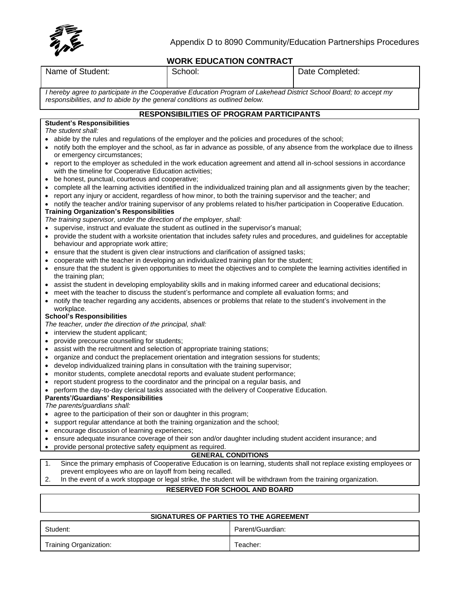

# **WORK EDUCATION CONTRACT**

|                                                                                                                                                                                                                          |                                                                              | WORR EDUCATION CONTRACT                         |                                                                                                                               |  |  |
|--------------------------------------------------------------------------------------------------------------------------------------------------------------------------------------------------------------------------|------------------------------------------------------------------------------|-------------------------------------------------|-------------------------------------------------------------------------------------------------------------------------------|--|--|
| Name of Student:                                                                                                                                                                                                         | School:                                                                      |                                                 | Date Completed:                                                                                                               |  |  |
| I hereby agree to participate in the Cooperative Education Program of Lakehead District School Board; to accept my<br>responsibilities, and to abide by the general conditions as outlined below.                        |                                                                              |                                                 |                                                                                                                               |  |  |
|                                                                                                                                                                                                                          |                                                                              | <b>RESPONSIBILITIES OF PROGRAM PARTICIPANTS</b> |                                                                                                                               |  |  |
| <b>Student's Responsibilities</b>                                                                                                                                                                                        |                                                                              |                                                 |                                                                                                                               |  |  |
| The student shall:                                                                                                                                                                                                       |                                                                              |                                                 |                                                                                                                               |  |  |
| abide by the rules and regulations of the employer and the policies and procedures of the school;                                                                                                                        |                                                                              |                                                 |                                                                                                                               |  |  |
| or emergency circumstances;                                                                                                                                                                                              |                                                                              |                                                 | notify both the employer and the school, as far in advance as possible, of any absence from the workplace due to illness      |  |  |
| report to the employer as scheduled in the work education agreement and attend all in-school sessions in accordance<br>$\bullet$                                                                                         |                                                                              |                                                 |                                                                                                                               |  |  |
| with the timeline for Cooperative Education activities;                                                                                                                                                                  |                                                                              |                                                 |                                                                                                                               |  |  |
| be honest, punctual, courteous and cooperative;<br>$\bullet$                                                                                                                                                             |                                                                              |                                                 |                                                                                                                               |  |  |
|                                                                                                                                                                                                                          |                                                                              |                                                 | complete all the learning activities identified in the individualized training plan and all assignments given by the teacher; |  |  |
| report any injury or accident, regardless of how minor, to both the training supervisor and the teacher; and                                                                                                             |                                                                              |                                                 |                                                                                                                               |  |  |
| notify the teacher and/or training supervisor of any problems related to his/her participation in Cooperative Education.<br><b>Training Organization's Responsibilities</b>                                              |                                                                              |                                                 |                                                                                                                               |  |  |
| The training supervisor, under the direction of the employer, shall:                                                                                                                                                     |                                                                              |                                                 |                                                                                                                               |  |  |
| supervise, instruct and evaluate the student as outlined in the supervisor's manual;                                                                                                                                     |                                                                              |                                                 |                                                                                                                               |  |  |
| provide the student with a worksite orientation that includes safety rules and procedures, and guidelines for acceptable                                                                                                 |                                                                              |                                                 |                                                                                                                               |  |  |
| behaviour and appropriate work attire;                                                                                                                                                                                   |                                                                              |                                                 |                                                                                                                               |  |  |
| ensure that the student is given clear instructions and clarification of assigned tasks;                                                                                                                                 |                                                                              |                                                 |                                                                                                                               |  |  |
| cooperate with the teacher in developing an individualized training plan for the student;<br>ensure that the student is given opportunities to meet the objectives and to complete the learning activities identified in |                                                                              |                                                 |                                                                                                                               |  |  |
| the training plan;                                                                                                                                                                                                       |                                                                              |                                                 |                                                                                                                               |  |  |
| assist the student in developing employability skills and in making informed career and educational decisions;                                                                                                           |                                                                              |                                                 |                                                                                                                               |  |  |
| meet with the teacher to discuss the student's performance and complete all evaluation forms; and                                                                                                                        |                                                                              |                                                 |                                                                                                                               |  |  |
| notify the teacher regarding any accidents, absences or problems that relate to the student's involvement in the<br>$\bullet$                                                                                            |                                                                              |                                                 |                                                                                                                               |  |  |
| workplace.<br><b>School's Responsibilities</b>                                                                                                                                                                           |                                                                              |                                                 |                                                                                                                               |  |  |
| The teacher, under the direction of the principal, shall:                                                                                                                                                                |                                                                              |                                                 |                                                                                                                               |  |  |
| interview the student applicant;                                                                                                                                                                                         |                                                                              |                                                 |                                                                                                                               |  |  |
| provide precourse counselling for students;                                                                                                                                                                              |                                                                              |                                                 |                                                                                                                               |  |  |
| assist with the recruitment and selection of appropriate training stations;<br>$\bullet$                                                                                                                                 |                                                                              |                                                 |                                                                                                                               |  |  |
| organize and conduct the preplacement orientation and integration sessions for students;<br>٠                                                                                                                            |                                                                              |                                                 |                                                                                                                               |  |  |
| develop individualized training plans in consultation with the training supervisor;<br>٠<br>monitor students, complete anecdotal reports and evaluate student performance;                                               |                                                                              |                                                 |                                                                                                                               |  |  |
| report student progress to the coordinator and the principal on a regular basis, and                                                                                                                                     |                                                                              |                                                 |                                                                                                                               |  |  |
| perform the day-to-day clerical tasks associated with the delivery of Cooperative Education.                                                                                                                             |                                                                              |                                                 |                                                                                                                               |  |  |
| <b>Parents'/Guardians' Responsibilities</b>                                                                                                                                                                              |                                                                              |                                                 |                                                                                                                               |  |  |
| The parents/guardians shall:                                                                                                                                                                                             |                                                                              |                                                 |                                                                                                                               |  |  |
| agree to the participation of their son or daughter in this program;                                                                                                                                                     |                                                                              |                                                 |                                                                                                                               |  |  |
| encourage discussion of learning experiences;                                                                                                                                                                            | support regular attendance at both the training organization and the school; |                                                 |                                                                                                                               |  |  |
| ٠                                                                                                                                                                                                                        |                                                                              |                                                 |                                                                                                                               |  |  |
| ensure adequate insurance coverage of their son and/or daughter including student accident insurance; and<br>provide personal protective safety equipment as required.                                                   |                                                                              |                                                 |                                                                                                                               |  |  |
| <b>GENERAL CONDITIONS</b>                                                                                                                                                                                                |                                                                              |                                                 |                                                                                                                               |  |  |
| Since the primary emphasis of Cooperative Education is on learning, students shall not replace existing employees or<br>1.                                                                                               |                                                                              |                                                 |                                                                                                                               |  |  |
| prevent employees who are on layoff from being recalled.<br>In the event of a work stoppage or legal strike, the student will be withdrawn from the training organization.<br>2.                                         |                                                                              |                                                 |                                                                                                                               |  |  |
|                                                                                                                                                                                                                          |                                                                              |                                                 |                                                                                                                               |  |  |
|                                                                                                                                                                                                                          |                                                                              | <b>RESERVED FOR SCHOOL AND BOARD</b>            |                                                                                                                               |  |  |
|                                                                                                                                                                                                                          |                                                                              |                                                 |                                                                                                                               |  |  |
| SIGNATURES OF PARTIES TO THE AGREEMENT                                                                                                                                                                                   |                                                                              |                                                 |                                                                                                                               |  |  |
| Student:                                                                                                                                                                                                                 |                                                                              | Parent/Guardian:                                |                                                                                                                               |  |  |
|                                                                                                                                                                                                                          |                                                                              |                                                 |                                                                                                                               |  |  |

Training Organization: Training Organization: